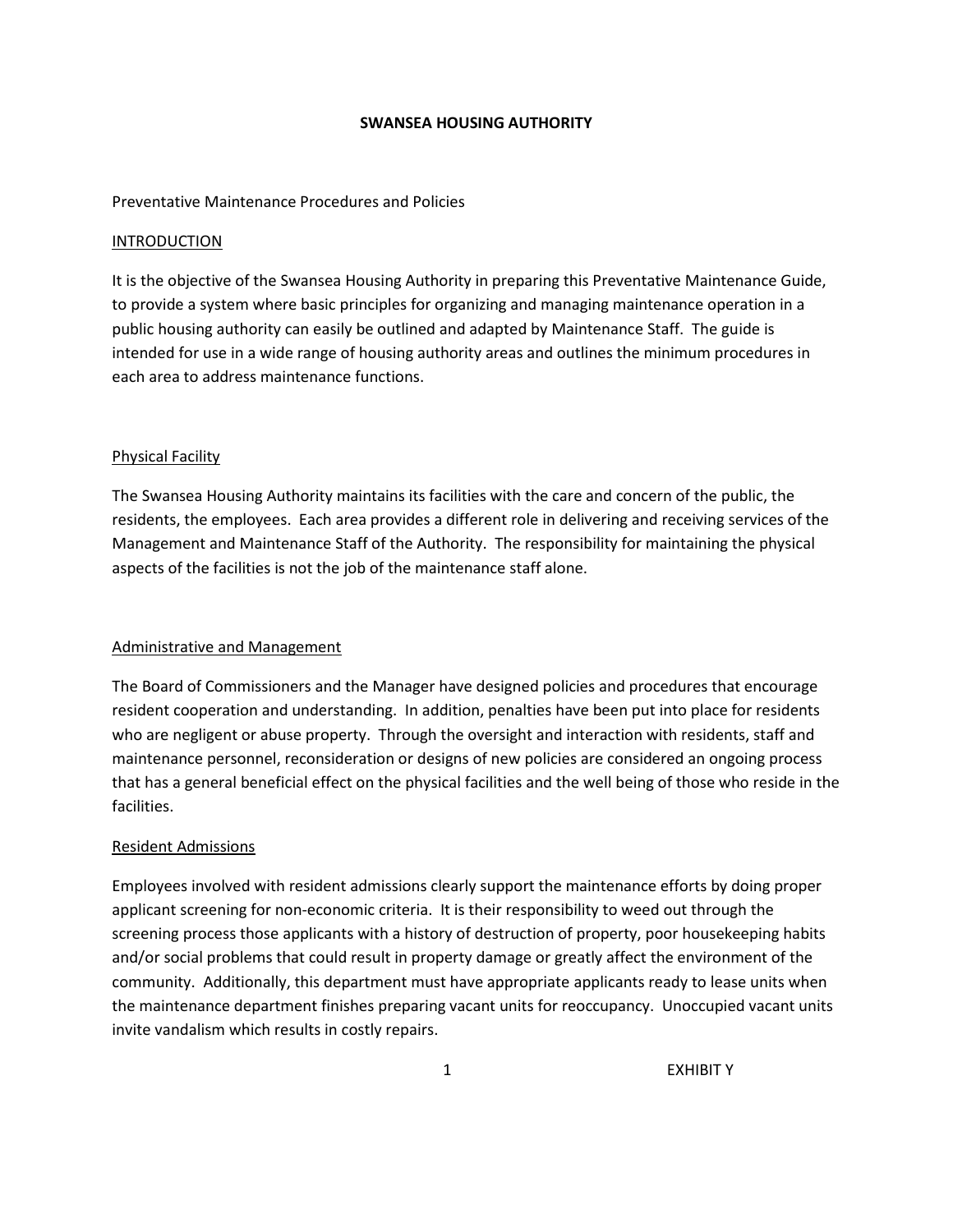### **SWANSEA HOUSING AUTHORITY**

### Preventative Maintenance Procedures and Policies

### INTRODUCTION

It is the objective of the Swansea Housing Authority in preparing this Preventative Maintenance Guide, to provide a system where basic principles for organizing and managing maintenance operation in a public housing authority can easily be outlined and adapted by Maintenance Staff. The guide is intended for use in a wide range of housing authority areas and outlines the minimum procedures in each area to address maintenance functions.

### Physical Facility

The Swansea Housing Authority maintains its facilities with the care and concern of the public, the residents, the employees. Each area provides a different role in delivering and receiving services of the Management and Maintenance Staff of the Authority. The responsibility for maintaining the physical aspects of the facilities is not the job of the maintenance staff alone.

# Administrative and Management

The Board of Commissioners and the Manager have designed policies and procedures that encourage resident cooperation and understanding. In addition, penalties have been put into place for residents who are negligent or abuse property. Through the oversight and interaction with residents, staff and maintenance personnel, reconsideration or designs of new policies are considered an ongoing process that has a general beneficial effect on the physical facilities and the well being of those who reside in the facilities.

# Resident Admissions

Employees involved with resident admissions clearly support the maintenance efforts by doing proper applicant screening for non-economic criteria. It is their responsibility to weed out through the screening process those applicants with a history of destruction of property, poor housekeeping habits and/or social problems that could result in property damage or greatly affect the environment of the community. Additionally, this department must have appropriate applicants ready to lease units when the maintenance department finishes preparing vacant units for reoccupancy. Unoccupied vacant units invite vandalism which results in costly repairs.

1 EXHIBIT Y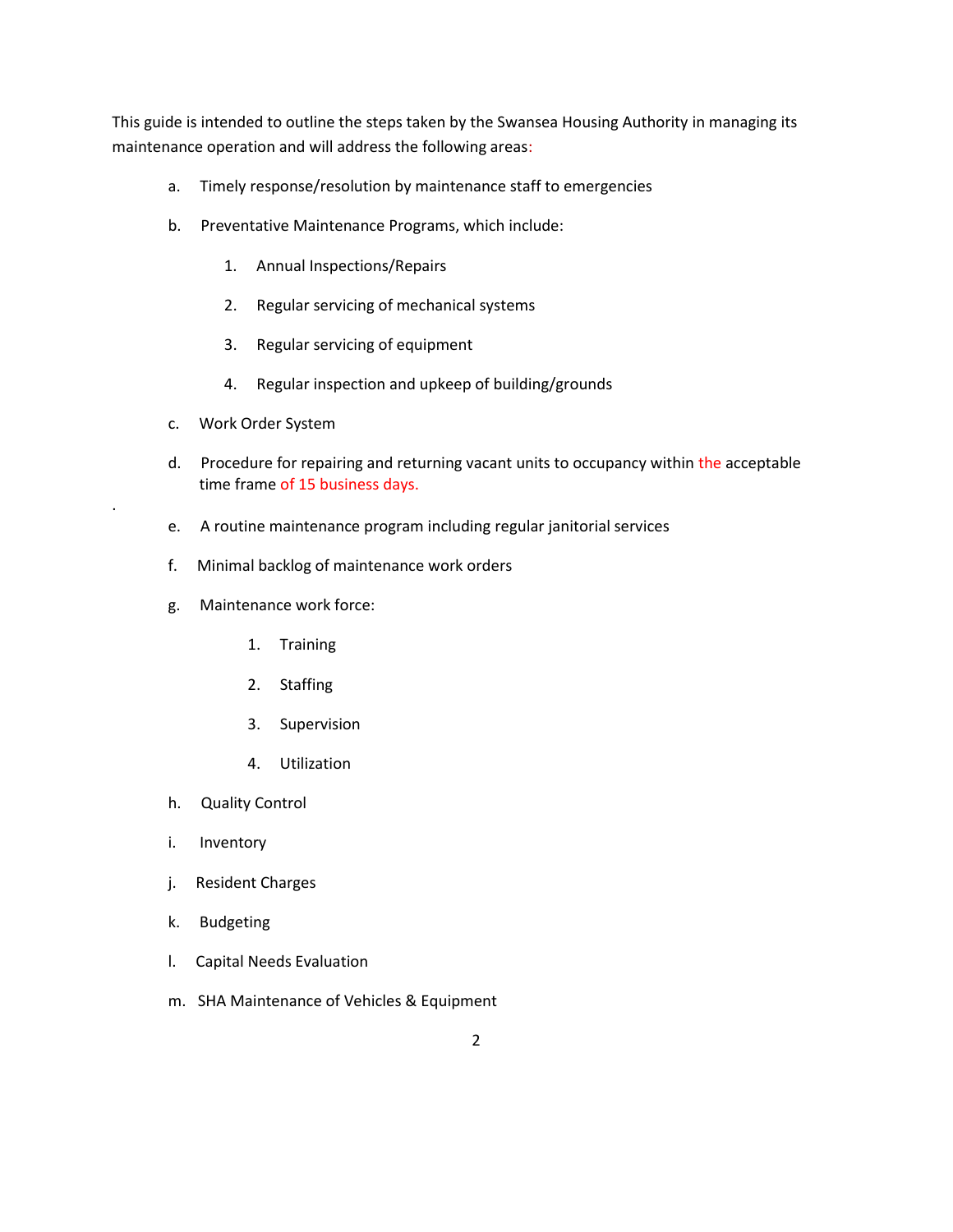This guide is intended to outline the steps taken by the Swansea Housing Authority in managing its maintenance operation and will address the following areas:

- a. Timely response/resolution by maintenance staff to emergencies
- b. Preventative Maintenance Programs, which include:
	- 1. Annual Inspections/Repairs
	- 2. Regular servicing of mechanical systems
	- 3. Regular servicing of equipment
	- 4. Regular inspection and upkeep of building/grounds
- c. Work Order System

.

- d. Procedure for repairing and returning vacant units to occupancy within the acceptable time frame of 15 business days.
- e. A routine maintenance program including regular janitorial services
- f. Minimal backlog of maintenance work orders
- g. Maintenance work force:
	- 1. Training
	- 2. Staffing
	- 3. Supervision
	- 4. Utilization
- h. Quality Control
- i. Inventory
- j. Resident Charges
- k. Budgeting
- l. Capital Needs Evaluation
- m. SHA Maintenance of Vehicles & Equipment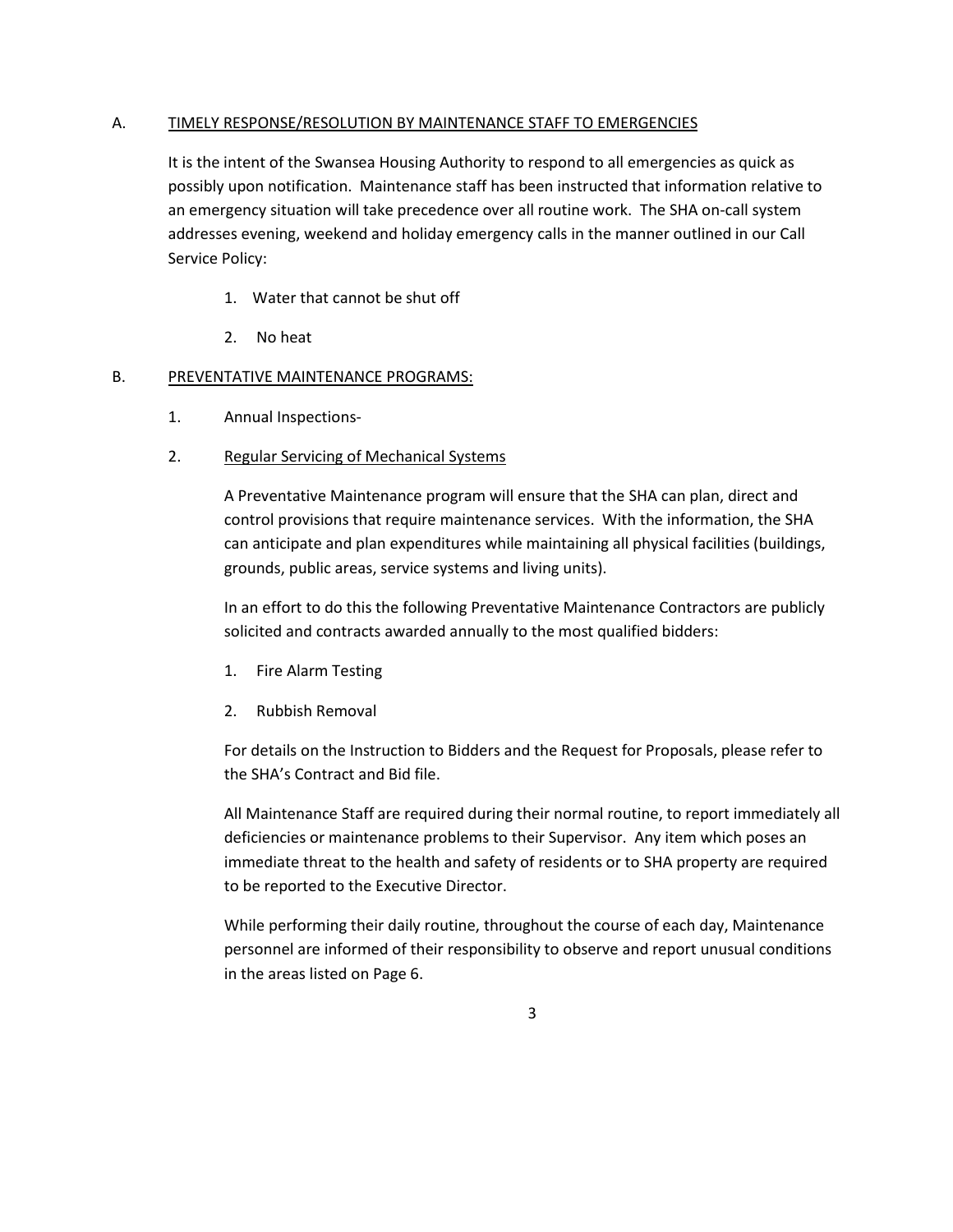# A. TIMELY RESPONSE/RESOLUTION BY MAINTENANCE STAFF TO EMERGENCIES

It is the intent of the Swansea Housing Authority to respond to all emergencies as quick as possibly upon notification. Maintenance staff has been instructed that information relative to an emergency situation will take precedence over all routine work. The SHA on-call system addresses evening, weekend and holiday emergency calls in the manner outlined in our Call Service Policy:

- 1. Water that cannot be shut off
- 2. No heat

# B. PREVENTATIVE MAINTENANCE PROGRAMS:

- 1. Annual Inspections-
- 2. Regular Servicing of Mechanical Systems

A Preventative Maintenance program will ensure that the SHA can plan, direct and control provisions that require maintenance services. With the information, the SHA can anticipate and plan expenditures while maintaining all physical facilities (buildings, grounds, public areas, service systems and living units).

In an effort to do this the following Preventative Maintenance Contractors are publicly solicited and contracts awarded annually to the most qualified bidders:

- 1. Fire Alarm Testing
- 2. Rubbish Removal

For details on the Instruction to Bidders and the Request for Proposals, please refer to the SHA's Contract and Bid file.

All Maintenance Staff are required during their normal routine, to report immediately all deficiencies or maintenance problems to their Supervisor. Any item which poses an immediate threat to the health and safety of residents or to SHA property are required to be reported to the Executive Director.

While performing their daily routine, throughout the course of each day, Maintenance personnel are informed of their responsibility to observe and report unusual conditions in the areas listed on Page 6.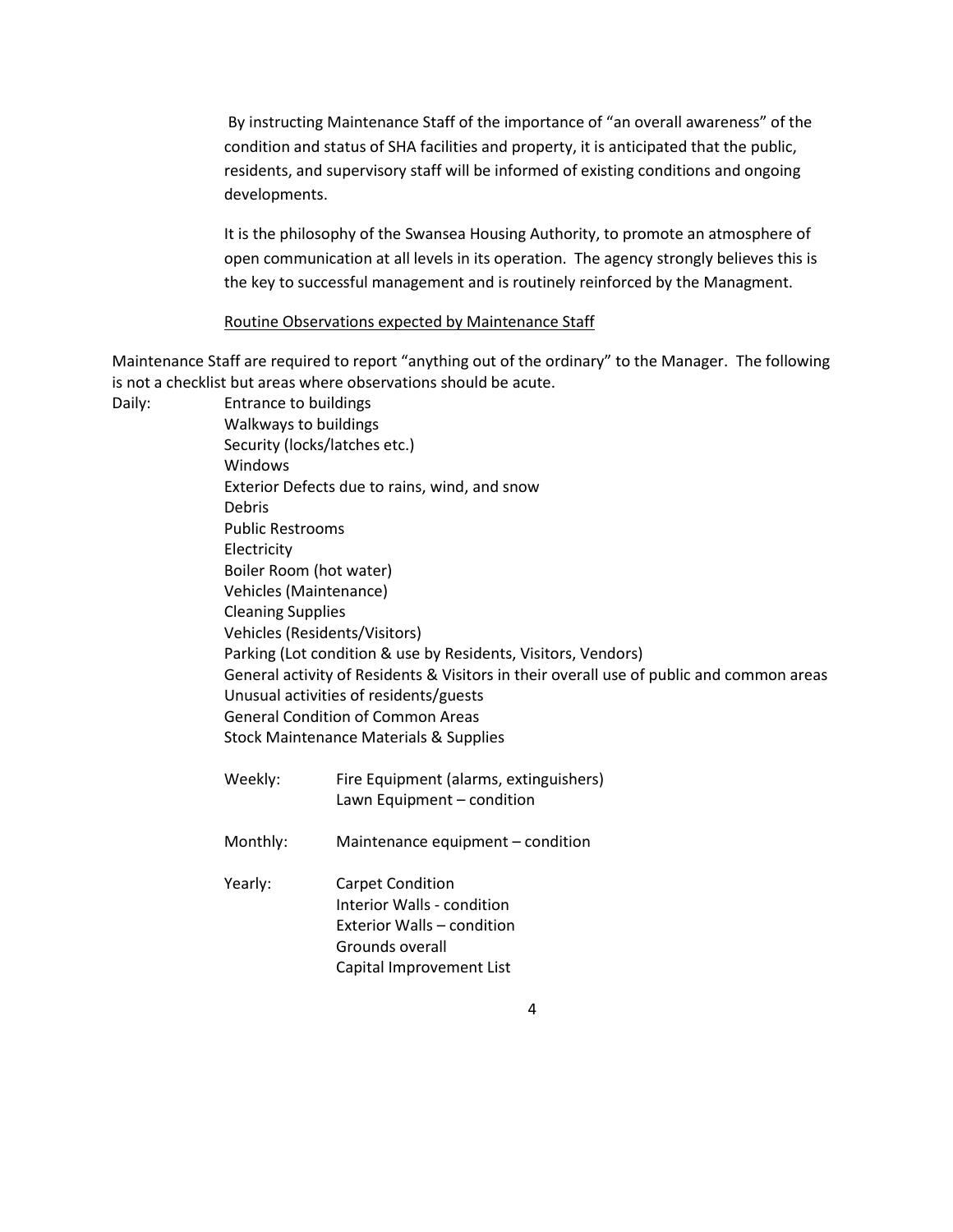By instructing Maintenance Staff of the importance of "an overall awareness" of the condition and status of SHA facilities and property, it is anticipated that the public, residents, and supervisory staff will be informed of existing conditions and ongoing developments.

It is the philosophy of the Swansea Housing Authority, to promote an atmosphere of open communication at all levels in its operation. The agency strongly believes this is the key to successful management and is routinely reinforced by the Managment.

### Routine Observations expected by Maintenance Staff

Maintenance Staff are required to report "anything out of the ordinary" to the Manager. The following is not a checklist but areas where observations should be acute.

Daily: Entrance to buildings Walkways to buildings Security (locks/latches etc.) Windows Exterior Defects due to rains, wind, and snow Debris Public Restrooms Electricity Boiler Room (hot water) Vehicles (Maintenance) Cleaning Supplies Vehicles (Residents/Visitors) Parking (Lot condition & use by Residents, Visitors, Vendors) General activity of Residents & Visitors in their overall use of public and common areas Unusual activities of residents/guests General Condition of Common Areas Stock Maintenance Materials & Supplies Weekly: Fire Equipment (alarms, extinguishers) Lawn Equipment – condition Monthly: Maintenance equipment – condition Yearly: Carpet Condition Interior Walls - condition Exterior Walls – condition Grounds overall Capital Improvement List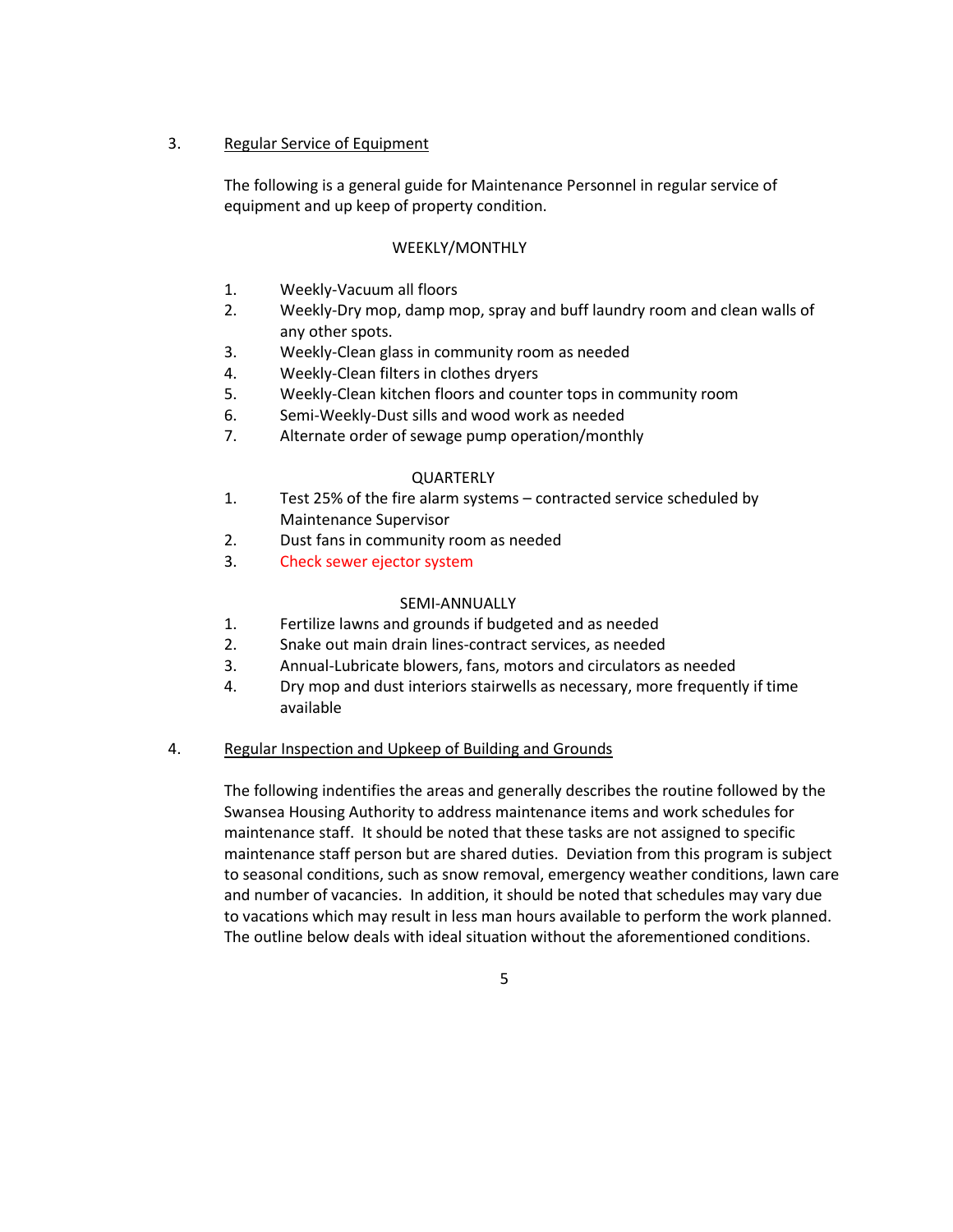# 3. Regular Service of Equipment

The following is a general guide for Maintenance Personnel in regular service of equipment and up keep of property condition.

### WEEKLY/MONTHLY

- 1. Weekly-Vacuum all floors
- 2. Weekly-Dry mop, damp mop, spray and buff laundry room and clean walls of any other spots.
- 3. Weekly-Clean glass in community room as needed
- 4. Weekly-Clean filters in clothes dryers
- 5. Weekly-Clean kitchen floors and counter tops in community room
- 6. Semi-Weekly-Dust sills and wood work as needed
- 7. Alternate order of sewage pump operation/monthly

#### **QUARTERLY**

- 1. Test 25% of the fire alarm systems contracted service scheduled by Maintenance Supervisor
- 2. Dust fans in community room as needed
- 3. Check sewer ejector system

#### SEMI-ANNUALLY

- 1. Fertilize lawns and grounds if budgeted and as needed
- 2. Snake out main drain lines-contract services, as needed
- 3. Annual-Lubricate blowers, fans, motors and circulators as needed
- 4. Dry mop and dust interiors stairwells as necessary, more frequently if time available

### 4. Regular Inspection and Upkeep of Building and Grounds

The following indentifies the areas and generally describes the routine followed by the Swansea Housing Authority to address maintenance items and work schedules for maintenance staff. It should be noted that these tasks are not assigned to specific maintenance staff person but are shared duties. Deviation from this program is subject to seasonal conditions, such as snow removal, emergency weather conditions, lawn care and number of vacancies. In addition, it should be noted that schedules may vary due to vacations which may result in less man hours available to perform the work planned. The outline below deals with ideal situation without the aforementioned conditions.

5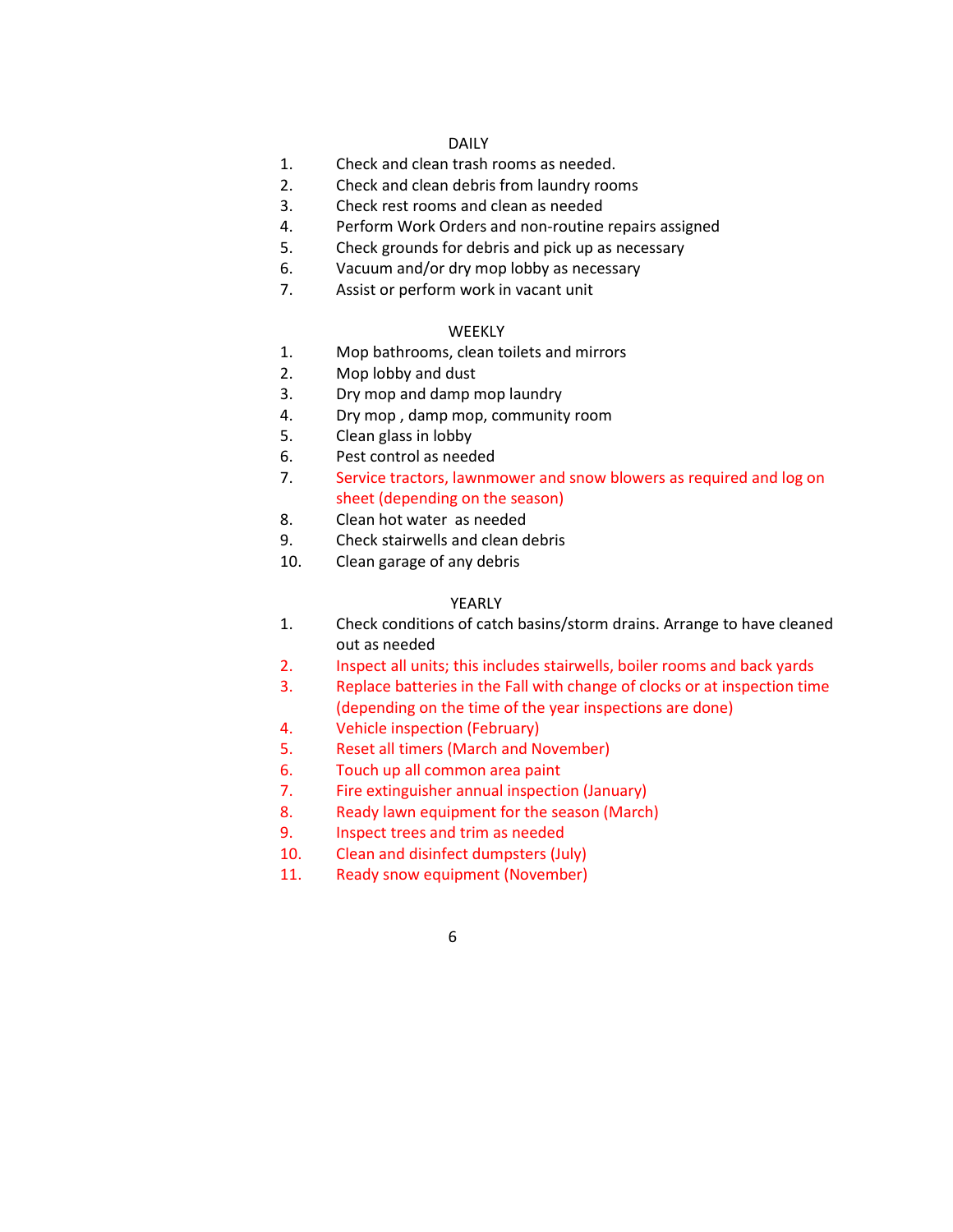#### DAILY

- 1. Check and clean trash rooms as needed.
- 2. Check and clean debris from laundry rooms
- 3. Check rest rooms and clean as needed
- 4. Perform Work Orders and non-routine repairs assigned
- 5. Check grounds for debris and pick up as necessary
- 6. Vacuum and/or dry mop lobby as necessary
- 7. Assist or perform work in vacant unit

### **WEEKLY**

- 1. Mop bathrooms, clean toilets and mirrors
- 2. Mop lobby and dust
- 3. Dry mop and damp mop laundry
- 4. Dry mop , damp mop, community room
- 5. Clean glass in lobby
- 6. Pest control as needed
- 7. Service tractors, lawnmower and snow blowers as required and log on sheet (depending on the season)
- 8. Clean hot water as needed
- 9. Check stairwells and clean debris
- 10. Clean garage of any debris

### YEARLY

- 1. Check conditions of catch basins/storm drains. Arrange to have cleaned out as needed
- 2. Inspect all units; this includes stairwells, boiler rooms and back yards
- 3. Replace batteries in the Fall with change of clocks or at inspection time (depending on the time of the year inspections are done)
- 4. Vehicle inspection (February)
- 5. Reset all timers (March and November)
- 6. Touch up all common area paint
- 7. Fire extinguisher annual inspection (January)
- 8. Ready lawn equipment for the season (March)
- 9. Inspect trees and trim as needed
- 10. Clean and disinfect dumpsters (July)
- 11. Ready snow equipment (November)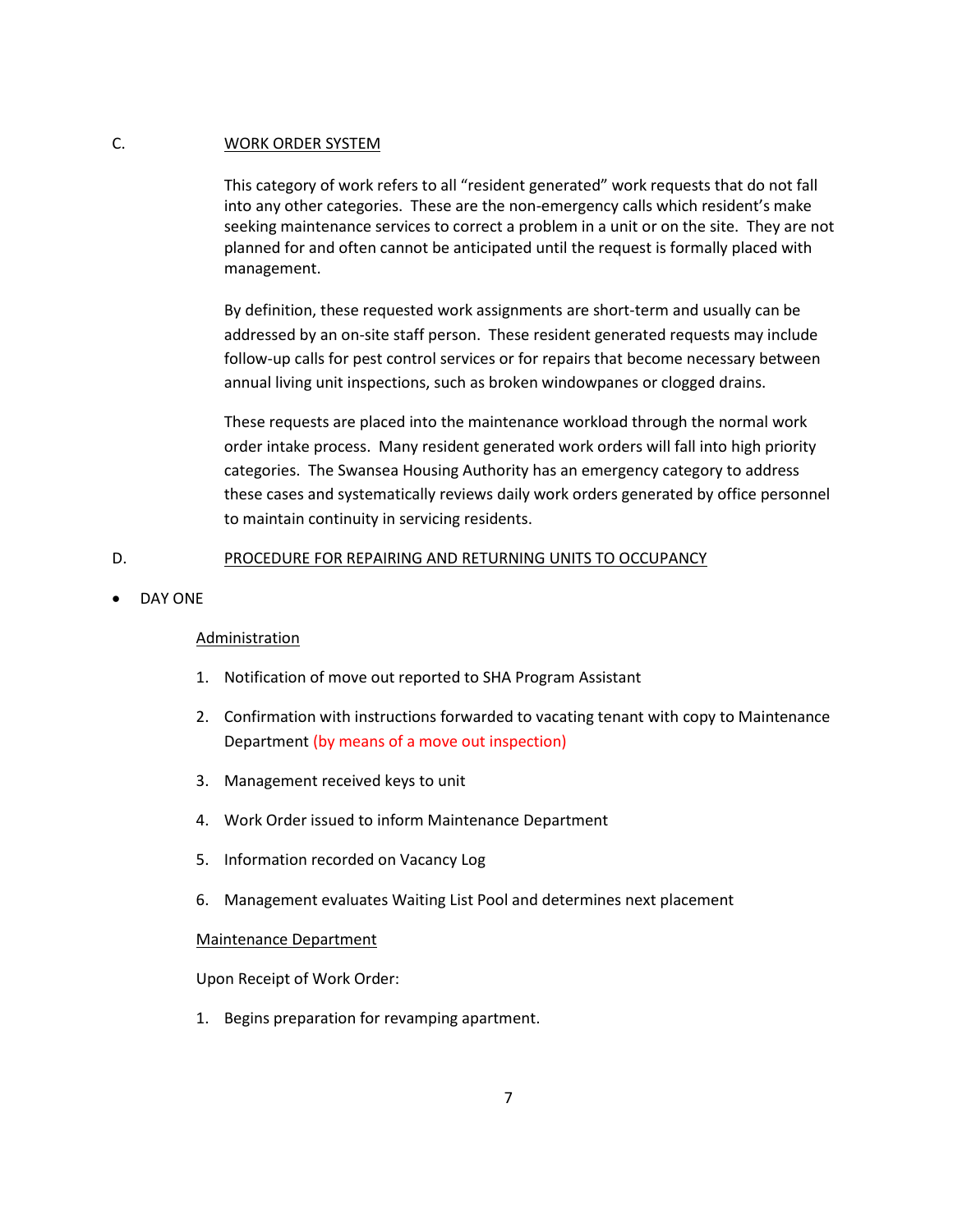### C. WORK ORDER SYSTEM

This category of work refers to all "resident generated" work requests that do not fall into any other categories. These are the non-emergency calls which resident's make seeking maintenance services to correct a problem in a unit or on the site. They are not planned for and often cannot be anticipated until the request is formally placed with management.

By definition, these requested work assignments are short-term and usually can be addressed by an on-site staff person. These resident generated requests may include follow-up calls for pest control services or for repairs that become necessary between annual living unit inspections, such as broken windowpanes or clogged drains.

These requests are placed into the maintenance workload through the normal work order intake process. Many resident generated work orders will fall into high priority categories. The Swansea Housing Authority has an emergency category to address these cases and systematically reviews daily work orders generated by office personnel to maintain continuity in servicing residents.

#### D. PROCEDURE FOR REPAIRING AND RETURNING UNITS TO OCCUPANCY

DAY ONE

### Administration

- 1. Notification of move out reported to SHA Program Assistant
- 2. Confirmation with instructions forwarded to vacating tenant with copy to Maintenance Department (by means of a move out inspection)
- 3. Management received keys to unit
- 4. Work Order issued to inform Maintenance Department
- 5. Information recorded on Vacancy Log
- 6. Management evaluates Waiting List Pool and determines next placement

#### Maintenance Department

Upon Receipt of Work Order:

1. Begins preparation for revamping apartment.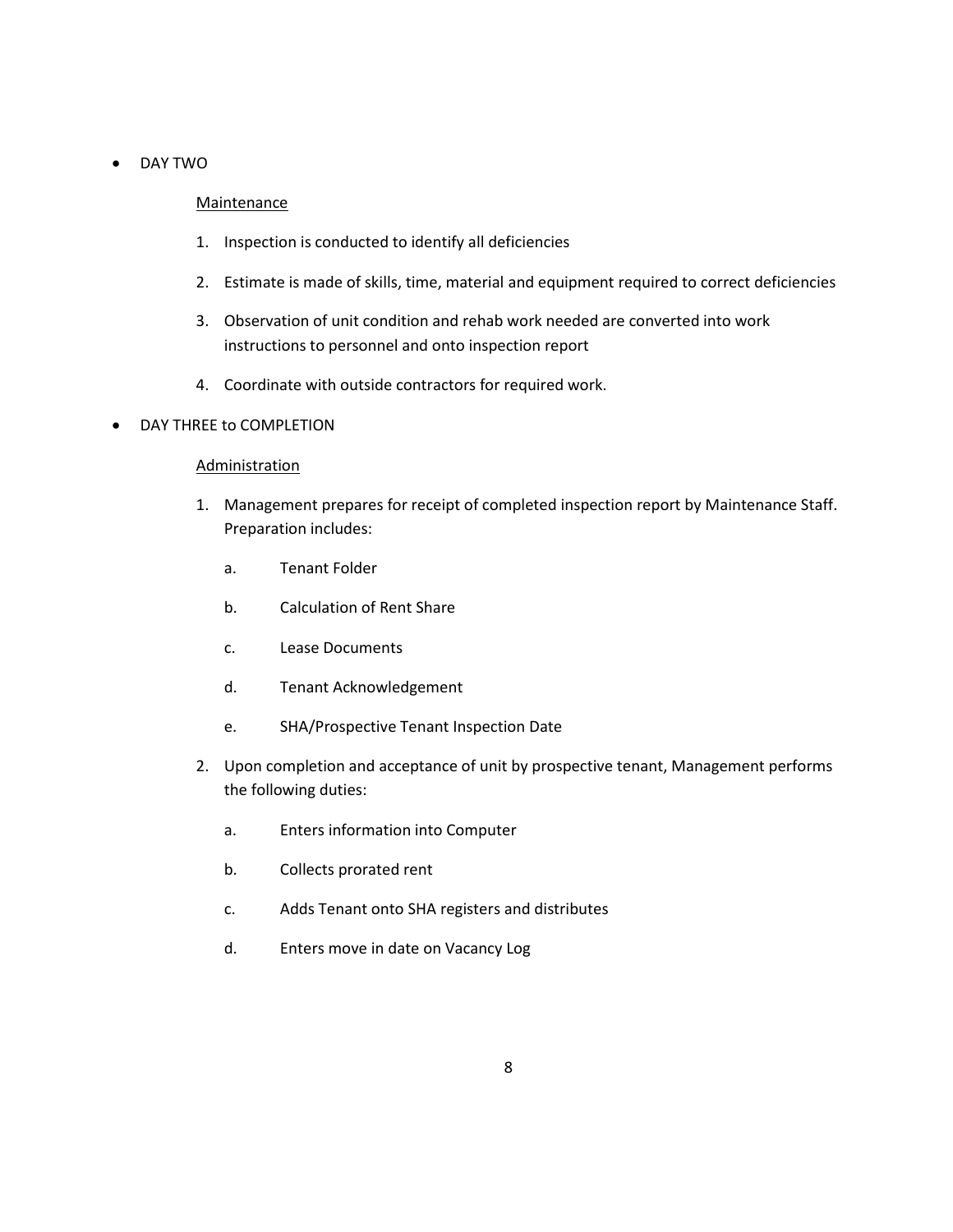# DAY TWO

### **Maintenance**

- 1. Inspection is conducted to identify all deficiencies
- 2. Estimate is made of skills, time, material and equipment required to correct deficiencies
- 3. Observation of unit condition and rehab work needed are converted into work instructions to personnel and onto inspection report
- 4. Coordinate with outside contractors for required work.

### DAY THREE to COMPLETION

# Administration

- 1. Management prepares for receipt of completed inspection report by Maintenance Staff. Preparation includes:
	- a. Tenant Folder
	- b. Calculation of Rent Share
	- c. Lease Documents
	- d. Tenant Acknowledgement
	- e. SHA/Prospective Tenant Inspection Date
- 2. Upon completion and acceptance of unit by prospective tenant, Management performs the following duties:
	- a. Enters information into Computer
	- b. Collects prorated rent
	- c. Adds Tenant onto SHA registers and distributes
	- d. Enters move in date on Vacancy Log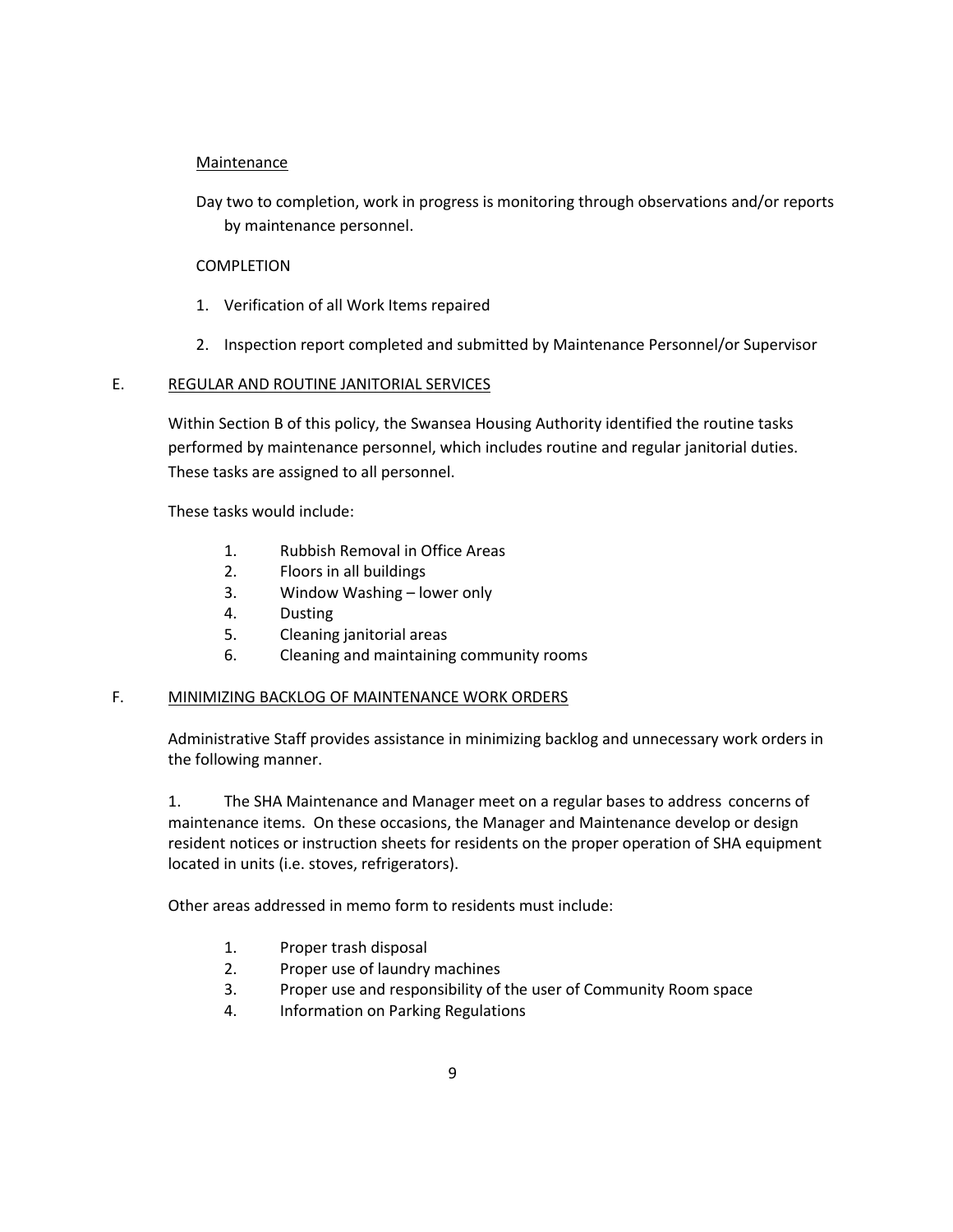# **Maintenance**

Day two to completion, work in progress is monitoring through observations and/or reports by maintenance personnel.

# COMPLETION

- 1. Verification of all Work Items repaired
- 2. Inspection report completed and submitted by Maintenance Personnel/or Supervisor

# E. REGULAR AND ROUTINE JANITORIAL SERVICES

Within Section B of this policy, the Swansea Housing Authority identified the routine tasks performed by maintenance personnel, which includes routine and regular janitorial duties. These tasks are assigned to all personnel.

These tasks would include:

- 1. Rubbish Removal in Office Areas
- 2. Floors in all buildings
- 3. Window Washing lower only
- 4. Dusting
- 5. Cleaning janitorial areas
- 6. Cleaning and maintaining community rooms

# F. MINIMIZING BACKLOG OF MAINTENANCE WORK ORDERS

Administrative Staff provides assistance in minimizing backlog and unnecessary work orders in the following manner.

1. The SHA Maintenance and Manager meet on a regular bases to address concerns of maintenance items. On these occasions, the Manager and Maintenance develop or design resident notices or instruction sheets for residents on the proper operation of SHA equipment located in units (i.e. stoves, refrigerators).

Other areas addressed in memo form to residents must include:

- 1. Proper trash disposal
- 2. Proper use of laundry machines
- 3. Proper use and responsibility of the user of Community Room space
- 4. Information on Parking Regulations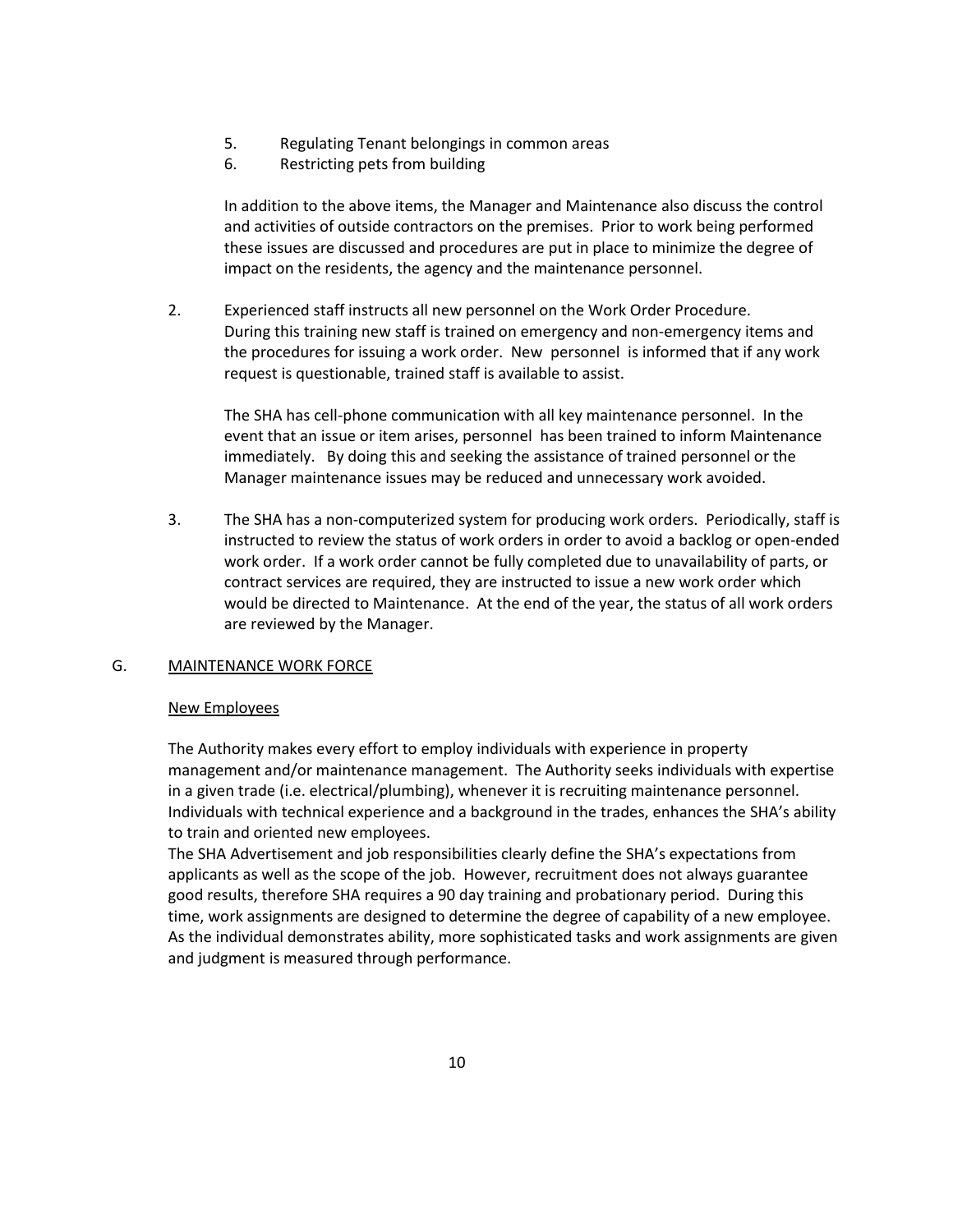- 5. Regulating Tenant belongings in common areas
- 6. Restricting pets from building

In addition to the above items, the Manager and Maintenance also discuss the control and activities of outside contractors on the premises. Prior to work being performed these issues are discussed and procedures are put in place to minimize the degree of impact on the residents, the agency and the maintenance personnel.

2. Experienced staff instructs all new personnel on the Work Order Procedure. During this training new staff is trained on emergency and non-emergency items and the procedures for issuing a work order. New personnel is informed that if any work request is questionable, trained staff is available to assist.

The SHA has cell-phone communication with all key maintenance personnel. In the event that an issue or item arises, personnel has been trained to inform Maintenance immediately. By doing this and seeking the assistance of trained personnel or the Manager maintenance issues may be reduced and unnecessary work avoided.

3. The SHA has a non-computerized system for producing work orders. Periodically, staff is instructed to review the status of work orders in order to avoid a backlog or open-ended work order. If a work order cannot be fully completed due to unavailability of parts, or contract services are required, they are instructed to issue a new work order which would be directed to Maintenance. At the end of the year, the status of all work orders are reviewed by the Manager.

### G. MAINTENANCE WORK FORCE

### New Employees

The Authority makes every effort to employ individuals with experience in property management and/or maintenance management. The Authority seeks individuals with expertise in a given trade (i.e. electrical/plumbing), whenever it is recruiting maintenance personnel. Individuals with technical experience and a background in the trades, enhances the SHA's ability to train and oriented new employees.

The SHA Advertisement and job responsibilities clearly define the SHA's expectations from applicants as well as the scope of the job. However, recruitment does not always guarantee good results, therefore SHA requires a 90 day training and probationary period. During this time, work assignments are designed to determine the degree of capability of a new employee. As the individual demonstrates ability, more sophisticated tasks and work assignments are given and judgment is measured through performance.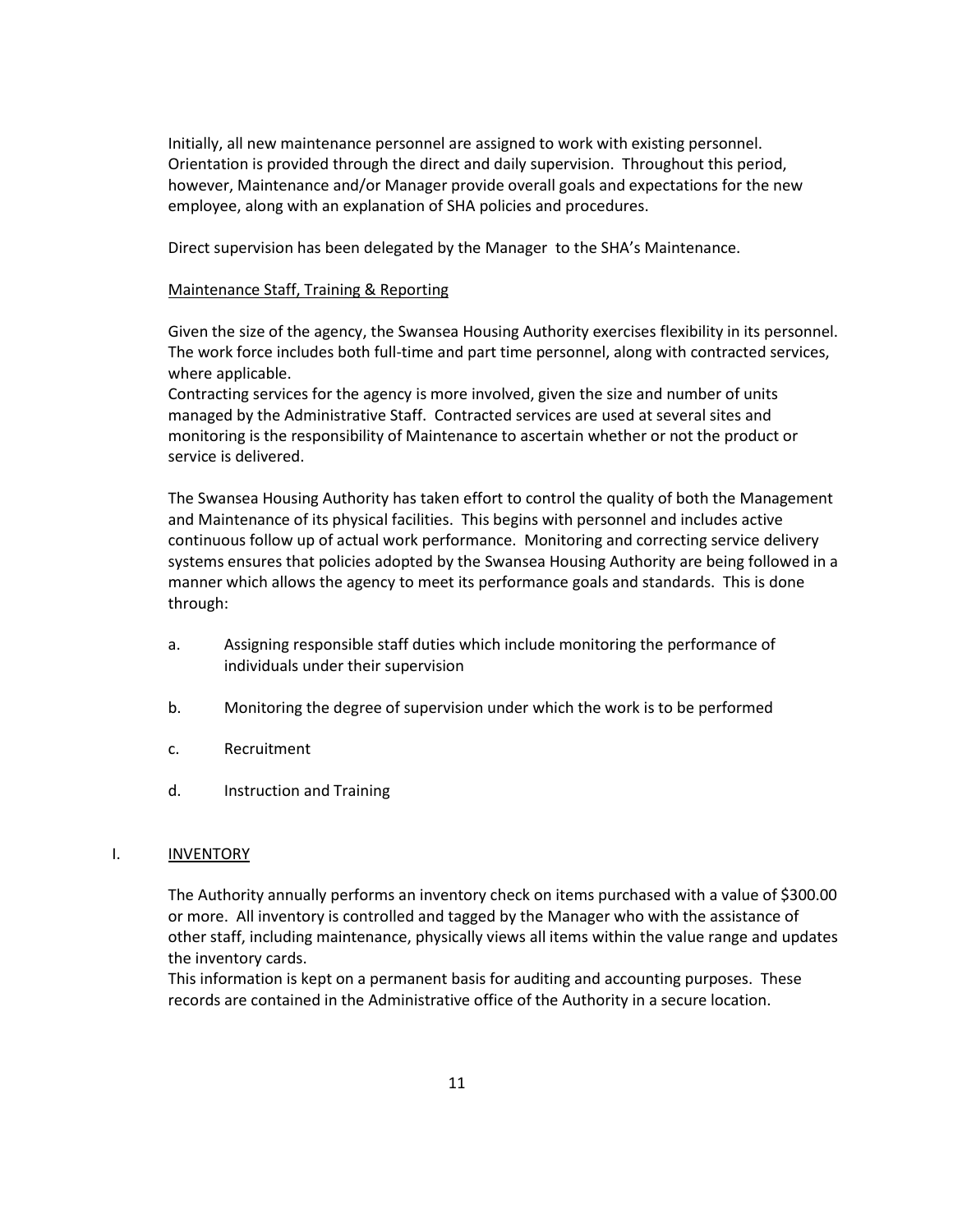Initially, all new maintenance personnel are assigned to work with existing personnel. Orientation is provided through the direct and daily supervision. Throughout this period, however, Maintenance and/or Manager provide overall goals and expectations for the new employee, along with an explanation of SHA policies and procedures.

Direct supervision has been delegated by the Manager to the SHA's Maintenance.

#### Maintenance Staff, Training & Reporting

Given the size of the agency, the Swansea Housing Authority exercises flexibility in its personnel. The work force includes both full-time and part time personnel, along with contracted services, where applicable.

Contracting services for the agency is more involved, given the size and number of units managed by the Administrative Staff. Contracted services are used at several sites and monitoring is the responsibility of Maintenance to ascertain whether or not the product or service is delivered.

The Swansea Housing Authority has taken effort to control the quality of both the Management and Maintenance of its physical facilities. This begins with personnel and includes active continuous follow up of actual work performance. Monitoring and correcting service delivery systems ensures that policies adopted by the Swansea Housing Authority are being followed in a manner which allows the agency to meet its performance goals and standards. This is done through:

- a. Assigning responsible staff duties which include monitoring the performance of individuals under their supervision
- b. Monitoring the degree of supervision under which the work is to be performed
- c. Recruitment
- d. Instruction and Training

#### I. INVENTORY

The Authority annually performs an inventory check on items purchased with a value of \$300.00 or more. All inventory is controlled and tagged by the Manager who with the assistance of other staff, including maintenance, physically views all items within the value range and updates the inventory cards.

This information is kept on a permanent basis for auditing and accounting purposes. These records are contained in the Administrative office of the Authority in a secure location.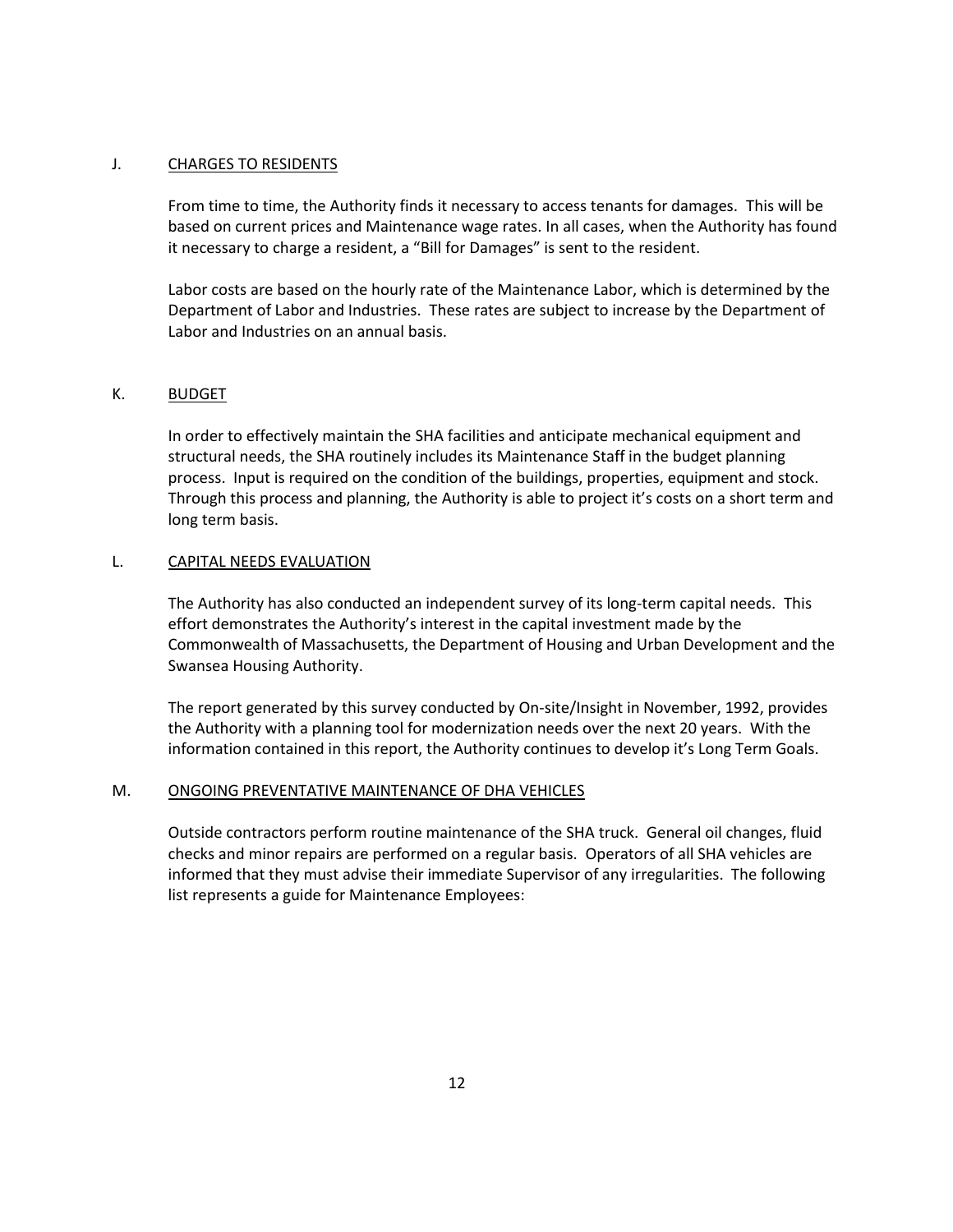### J. CHARGES TO RESIDENTS

From time to time, the Authority finds it necessary to access tenants for damages. This will be based on current prices and Maintenance wage rates. In all cases, when the Authority has found it necessary to charge a resident, a "Bill for Damages" is sent to the resident.

Labor costs are based on the hourly rate of the Maintenance Labor, which is determined by the Department of Labor and Industries. These rates are subject to increase by the Department of Labor and Industries on an annual basis.

#### K. BUDGET

In order to effectively maintain the SHA facilities and anticipate mechanical equipment and structural needs, the SHA routinely includes its Maintenance Staff in the budget planning process. Input is required on the condition of the buildings, properties, equipment and stock. Through this process and planning, the Authority is able to project it's costs on a short term and long term basis.

#### L. CAPITAL NEEDS EVALUATION

The Authority has also conducted an independent survey of its long-term capital needs. This effort demonstrates the Authority's interest in the capital investment made by the Commonwealth of Massachusetts, the Department of Housing and Urban Development and the Swansea Housing Authority.

The report generated by this survey conducted by On-site/Insight in November, 1992, provides the Authority with a planning tool for modernization needs over the next 20 years. With the information contained in this report, the Authority continues to develop it's Long Term Goals.

#### M. ONGOING PREVENTATIVE MAINTENANCE OF DHA VEHICLES

Outside contractors perform routine maintenance of the SHA truck. General oil changes, fluid checks and minor repairs are performed on a regular basis. Operators of all SHA vehicles are informed that they must advise their immediate Supervisor of any irregularities. The following list represents a guide for Maintenance Employees: